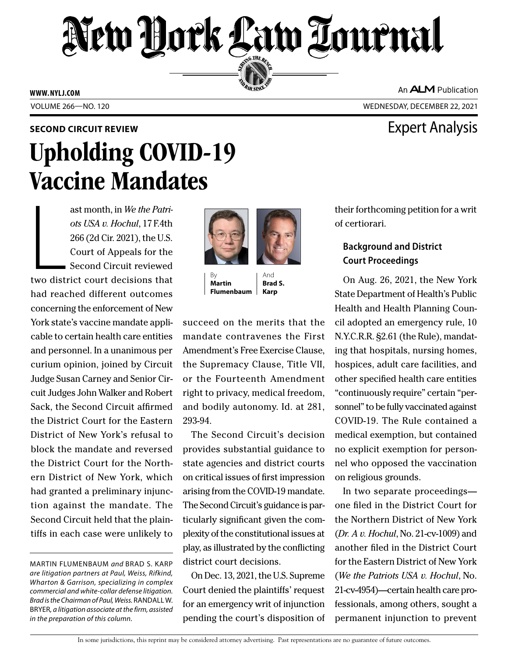# New Hork Law Lournal SERVING THE BEN

**ED BAR SINCE 188** 

**WWW. NYLJ.COM**

An **ALM** Publication

VOLUME 266—NO. 120 WEDNESDAY, DECEMBER 22, 2021

# **SECOND CIRCUIT REVIEW EXPERIENCE AND LOCAL EXPETITION CIRCUIT REVIEW** Upholding COVID-19 Vaccine Mandates

Later and the set of the set of the set of the set of the set of the set of the set of the set of the set of the set of the set of the set of the set of the set of the set of the set of the set of the set of the set of the ast month, in *We the Patriots USA v. Hochul*, 17 F.4th 266 (2d Cir. 2021), the U.S. Court of Appeals for the Second Circuit reviewed two district court decisions that had reached different outcomes concerning the enforcement of New York state's vaccine mandate applicable to certain health care entities and personnel. In a unanimous per curium opinion, joined by Circuit Judge Susan Carney and Senior Circuit Judges John Walker and Robert Sack, the Second Circuit affirmed the District Court for the Eastern District of New York's refusal to block the mandate and reversed the District Court for the Northern District of New York, which had granted a preliminary injunction against the mandate. The Second Circuit held that the plaintiffs in each case were unlikely to



By **Martin Flumenbaum**

And **Brad S. Karp**

succeed on the merits that the mandate contravenes the First Amendment's Free Exercise Clause, the Supremacy Clause, Title VII, or the Fourteenth Amendment right to privacy, medical freedom, and bodily autonomy. Id. at 281, 293-94.

The Second Circuit's decision provides substantial guidance to state agencies and district courts on critical issues of first impression arising from the COVID-19 mandate. The Second Circuit's guidance is particularly significant given the complexity of the constitutional issues at play, as illustrated by the conflicting district court decisions.

On Dec. 13, 2021, the U.S. Supreme Court denied the plaintiffs' request for an emergency writ of injunction pending the court's disposition of their forthcoming petition for a writ of certiorari.

## **Background and District Court Proceedings**

On Aug. 26, 2021, the New York State Department of Health's Public Health and Health Planning Council adopted an emergency rule, 10 N.Y.C.R.R. §2.61 (the Rule), mandating that hospitals, nursing homes, hospices, adult care facilities, and other specified health care entities "continuously require" certain "personnel" to be fully vaccinated against COVID-19. The Rule contained a medical exemption, but contained no explicit exemption for personnel who opposed the vaccination on religious grounds.

In two separate proceedings one filed in the District Court for the Northern District of New York (*Dr. A v. Hochul*, No. 21-cv-1009) and another filed in the District Court for the Eastern District of New York (*We the Patriots USA v. Hochul*, No. 21-cv-4954)—certain health care professionals, among others, sought a permanent injunction to prevent

In some jurisdictions, this reprint may be considered attorney advertising. Past representations are no guarantee of future outcomes.

MARTIN FLUMENBAUM *and* BRAD S. KARP *are litigation partners at Paul, Weiss, Rifkind, Wharton & Garrison, specializing in complex commercial and white-collar defense litigation. Brad is the Chairman of Paul, Weiss.* RANDALL W. BRYER*, a litigation associate at the firm, assisted in the preparation of this column.*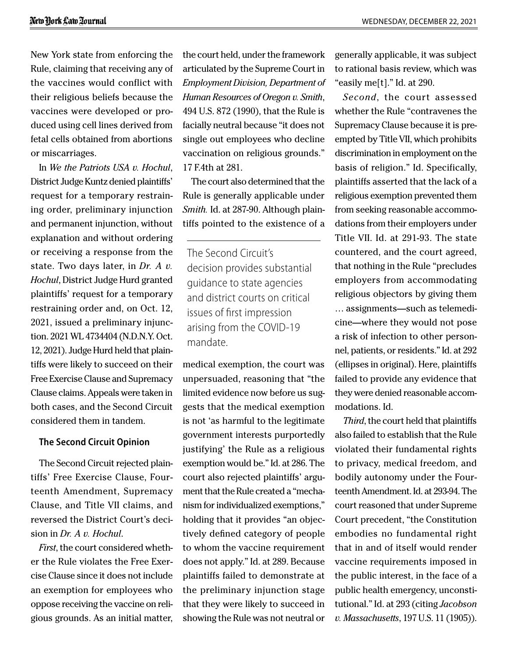New York state from enforcing the Rule, claiming that receiving any of the vaccines would conflict with their religious beliefs because the vaccines were developed or produced using cell lines derived from fetal cells obtained from abortions or miscarriages.

In *We the Patriots USA v. Hochul*, District Judge Kuntz denied plaintiffs' request for a temporary restraining order, preliminary injunction and permanent injunction, without explanation and without ordering or receiving a response from the state. Two days later, in *Dr. A v. Hochul*, District Judge Hurd granted plaintiffs' request for a temporary restraining order and, on Oct. 12, 2021, issued a preliminary injunction. 2021 WL 4734404 (N.D.N.Y. Oct. 12, 2021). Judge Hurd held that plaintiffs were likely to succeed on their Free Exercise Clause and Supremacy Clause claims. Appeals were taken in both cases, and the Second Circuit considered them in tandem.

#### **The Second Circuit Opinion**

The Second Circuit rejected plaintiffs' Free Exercise Clause, Fourteenth Amendment, Supremacy Clause, and Title VII claims, and reversed the District Court's decision in *Dr. A v. Hochul*.

*First*, the court considered whether the Rule violates the Free Exercise Clause since it does not include an exemption for employees who oppose receiving the vaccine on religious grounds. As an initial matter,

the court held, under the framework articulated by the Supreme Court in *Employment Division, Department of Human Resources of Oregon v. Smith*, 494 U.S. 872 (1990), that the Rule is facially neutral because "it does not single out employees who decline vaccination on religious grounds." 17 F.4th at 281.

The court also determined that the Rule is generally applicable under *Smith.* Id. at 287-90. Although plaintiffs pointed to the existence of a

The Second Circuit's decision provides substantial guidance to state agencies and district courts on critical issues of first impression arising from the COVID-19 mandate.

medical exemption, the court was unpersuaded, reasoning that "the limited evidence now before us suggests that the medical exemption is not 'as harmful to the legitimate government interests purportedly justifying' the Rule as a religious exemption would be." Id. at 286. The court also rejected plaintiffs' argument that the Rule created a "mechanism for individualized exemptions," holding that it provides "an objectively defined category of people to whom the vaccine requirement does not apply." Id. at 289. Because plaintiffs failed to demonstrate at the preliminary injunction stage that they were likely to succeed in showing the Rule was not neutral or

generally applicable, it was subject to rational basis review, which was "easily me[t]." Id. at 290.

*Second*, the court assessed whether the Rule "contravenes the Supremacy Clause because it is preempted by Title VII, which prohibits discrimination in employment on the basis of religion." Id. Specifically, plaintiffs asserted that the lack of a religious exemption prevented them from seeking reasonable accommodations from their employers under Title VII. Id. at 291-93. The state countered, and the court agreed, that nothing in the Rule "precludes employers from accommodating religious objectors by giving them … assignments—such as telemedicine—where they would not pose a risk of infection to other personnel, patients, or residents." Id. at 292 (ellipses in original). Here, plaintiffs failed to provide any evidence that they were denied reasonable accommodations. Id.

*Third*, the court held that plaintiffs also failed to establish that the Rule violated their fundamental rights to privacy, medical freedom, and bodily autonomy under the Fourteenth Amendment. Id. at 293-94. The court reasoned that under Supreme Court precedent, "the Constitution embodies no fundamental right that in and of itself would render vaccine requirements imposed in the public interest, in the face of a public health emergency, unconstitutional." Id. at 293 (citing *Jacobson v. Massachusetts*, 197 U.S. 11 (1905)).